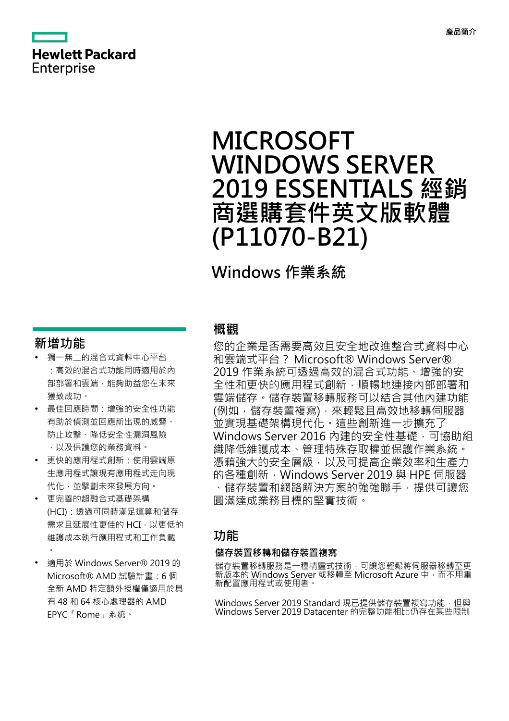# **Hewlett Packard** Enterprise

# **MICROSOFT WINDOWS SERVER 2019 ESSENTIALS 經銷 商選購套件英文版軟體 (P11070-B21)**

# **Windows 作業系統**

### **新增功能**

- **·** 獨一無二的混合式資料中心平台 :高效的混合式功能同時適用於內 部部署和雲端,能夠助益您在未來 獲致成功。
- **·** 最佳回應時間:增強的安全性功能 有助於偵測並回應新出現的威脅、 防止攻擊、降低安全性漏洞風險 ,以及保護您的業務資料。
- **·** 更快的應用程式創新:使用雲端原 生應用程式讓現有應用程式走向現 代化,並擘劃未來發展方向。
- **·** 更完善的超融合式基礎架構 (HCI):透過可同時滿足運算和儲存 需求且延展性更佳的 HCI,以更低的 維護成本執行應用程式和工作負載  $\bullet$
- **·** 適用於 Windows Server® 2019 的 Microsoft® AMD 試驗計畫:6 個 全新 AMD 特定額外授權僅適用於具 有 48 和 64 核心處理器的 AMD EPYC「Rome」系統。

### **概觀**

您的企業是否需要高效且安全地改進整合式資料中心 和雲端式平台? Microsoft® Windows Server® 2019 作業系統可透過高效的混合式功能、增強的安 全性和更快的應用程式創新,順暢地連接內部部署和 雲端儲存。儲存裝置移轉服務可以結合其他內建功能 (例如,儲存裝置複寫),來輕鬆且高效地移轉伺服器 並實現基礎架構現代化。這些創新進一步擴充了 Windows Server 2016 內建的安全性基礎,可協助組 織降低維護成本、管理特殊存取權並保護作業系統。 憑藉強大的安全層級,以及可提高企業效率和生產力 的各種創新, Windows Server 2019 與 HPE 伺服器 、儲存裝置和網路解決方案的強強聯手,提供可讓您 圓滿達成業務目標的堅實技術。

### **功能**

#### **儲存裝置移轉和儲存裝置複寫**

儲存裝置移轉服務是一種精靈式技術,可讓您輕鬆將伺服器移轉至更 新版本的 Windows Server 或移轉至 Microsoft Azure 中,而不用重 新配置應用程式或使用者。

Windows Server 2019 Standard 現已提供儲存裝置複寫功能,但與 Windows Server 2019 Datacenter 的完整功能相比仍存在某些限制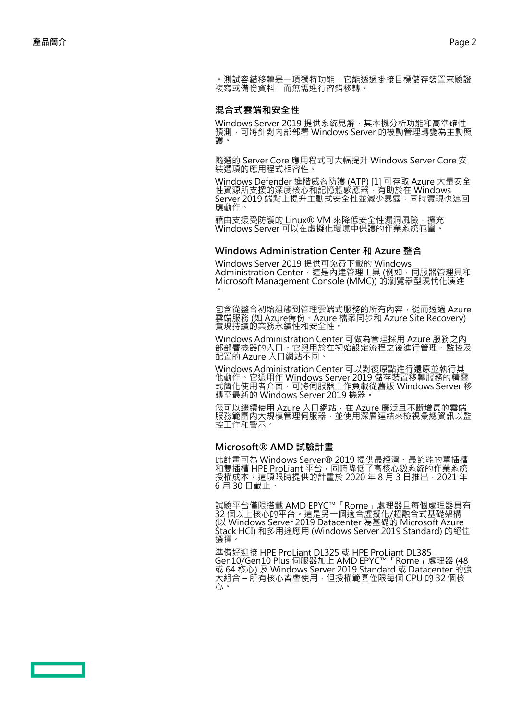· 測試容錯移轉是一項獨特功能, 它能透過掛接目標儲存裝置來驗證 複寫或備份資料,而無需進行容錯移轉。

#### **混合式雲端和安全性**

Windows Server 2019 提供系統見解,其本機分析功能和高準確性 預測,可將針對內部部署 Windows Server 的被動管理轉變為主動照 護。

隨選的 Server Core 應用程式可大幅提升 Windows Server Core 安 裝選項的應用程式相容性。

Windows Defender 進階威脅防護 (ATP) [1] 可存取 Azure 大量安全 性資源所支援的深度核心和記憶體感應器,有助於在 Windows Server 2019 端點上提升主動式安全性並減少暴露,同時實現快速回 應動作。

藉由支援受防護的 Linux® VM 來降低安全性漏洞風險,擴充 Windows Server 可以在虛擬化環境中保護的作業系統範圍。

#### **Windows Administration Center 和 Azure 整合**

Windows Server 2019 提供可免費下載的 Windows Administration Center,這是內建管理工具 (例如,伺服器管理員和 Microsoft Management Console (MMC)) 的瀏覽器型現代化演進 。

包含從整合初始組態到管理雲端式服務的所有內容,從而透過 Azure 雲端服務 (如 Azure備份、Azure 檔案同步和 Azure Site Recovery) 實現持續的業務永續性和安全性。

Windows Administration Center 可做為管理採用 Azure 服務之內 部部署機器的入口。它與用於在初始設定流程之後進行管理、監控及 配置的 Azure 入口網站不同。

Windows Administration Center 可以對復原點進行還原並執行其 他動作。它還用作 Windows Server 2019 儲存裝置移轉服務的精靈 式簡化使用者介面,可將伺服器工作負載從舊版 Windows Server 移 轉至最新的 Windows Server 2019 機器。

您可以繼續使用 Azure 入口網站, 在 Azure 廣泛且不斷增長的雲端 服務範圍內大規模管理伺服器,並使用深層連結來檢視彙總資訊以監 控工作和警示。

#### **Microsoft® AMD 試驗計畫**

此計畫可為 Windows Server® 2019 提供最經濟、最節能的單插槽 和雙插槽 HPE ProLiant 平台,同時降低了高核心數系統的作業系統 授權成本。這項限時提供的計畫於 2020 年 8 月 3 日推出,2021 年 6 月 30 日截止。

試驗平台僅限搭載 AMD EPYC™「Rome」處理器且每個處理器具有 32 個以上核心的平台。這是另一個適合虛擬化/超融合式基礎架構 (以 Windows Server 2019 Datacenter 為基礎的 Microsoft Azure Stack HCI) 和多用途應用 (Windows Server 2019 Standard) 的絕佳 選擇。

準備好迎接 HPE ProLiant DL325 或 HPE ProLiant DL385 Gen10/Gen10 Plus 伺服器加上 AMD EPYC™「Rome」處理器 (48 或 64 核心) 及 Windows Server 2019 Standard 或 Datacenter 的強 大組合 – 所有核心皆會使用,但授權範圍僅限每個 CPU 的 32 個核 心。